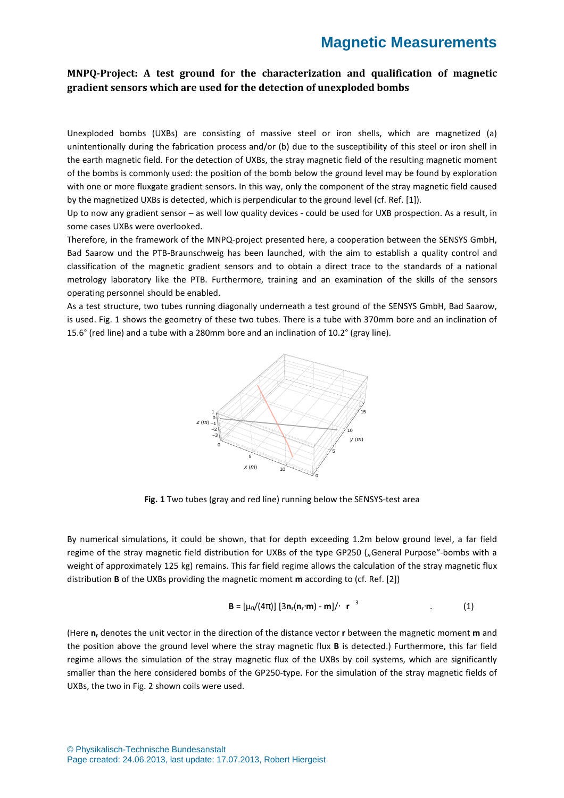### **MNPQ-Project: A test ground for the characterization and qualification of magnetic gradient sensors which are used for the detection of unexploded bombs**

Unexploded bombs (UXBs) are consisting of massive steel or iron shells, which are magnetized (a) unintentionally during the fabrication process and/or (b) due to the susceptibility of this steel or iron shell in the earth magnetic field. For the detection of UXBs, the stray magnetic field of the resulting magnetic moment of the bombs is commonly used: the position of the bomb below the ground level may be found by exploration with one or more fluxgate gradient sensors. In this way, only the component of the stray magnetic field caused by the magnetized UXBs is detected, which is perpendicular to the ground level (cf. Ref. [1]).

Up to now any gradient sensor – as well low quality devices - could be used for UXB prospection. As a result, in some cases UXBs were overlooked.

Therefore, in the framework of the MNPQ-project presented here, a cooperation between the SENSYS GmbH, Bad Saarow und the PTB-Braunschweig has been launched, with the aim to establish a quality control and classification of the magnetic gradient sensors and to obtain a direct trace to the standards of a national metrology laboratory like the PTB. Furthermore, training and an examination of the skills of the sensors operating personnel should be enabled.

As a test structure, two tubes running diagonally underneath a test ground of the SENSYS GmbH, Bad Saarow, is used. Fig. 1 shows the geometry of these two tubes. There is a tube with 370mm bore and an inclination of 15.6° (red line) and a tube with a 280mm bore and an inclination of 10.2° (gray line).



**Fig. 1** Two tubes (gray and red line) running below the SENSYS-test area

By numerical simulations, it could be shown, that for depth exceeding 1.2m below ground level, a far field regime of the stray magnetic field distribution for UXBs of the type GP250 ("General Purpose"-bombs with a weight of approximately 125 kg) remains. This far field regime allows the calculation of the stray magnetic flux distribution **B** of the UXBs providing the magnetic moment **m** according to (cf. Ref. [2])

$$
\mathbf{B} = [\mu_0/(4\pi)] [3\mathbf{n}_r(\mathbf{n}_r \cdot \mathbf{m}) - \mathbf{m}]/\cdot |\mathbf{r}|^3
$$
 (1)

(Here **n<sup>r</sup>** denotes the unit vector in the direction of the distance vector **r** between the magnetic moment **m** and the position above the ground level where the stray magnetic flux **B** is detected.) Furthermore, this far field regime allows the simulation of the stray magnetic flux of the UXBs by coil systems, which are significantly smaller than the here considered bombs of the GP250-type. For the simulation of the stray magnetic fields of UXBs, the two in Fig. 2 shown coils were used.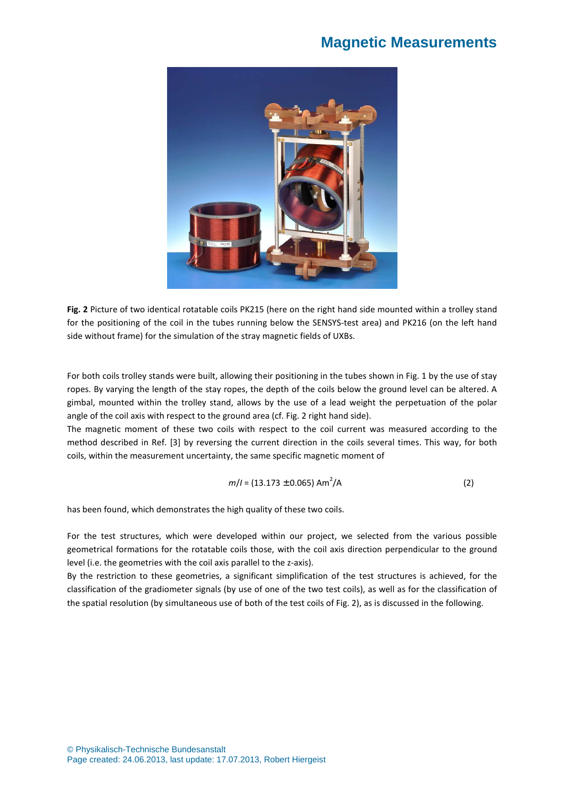

**Fig. 2** Picture of two identical rotatable coils PK215 (here on the right hand side mounted within a trolley stand for the positioning of the coil in the tubes running below the SENSYS-test area) and PK216 (on the left hand side without frame) for the simulation of the stray magnetic fields of UXBs.

For both coils trolley stands were built, allowing their positioning in the tubes shown in Fig. 1 by the use of stay ropes. By varying the length of the stay ropes, the depth of the coils below the ground level can be altered. A gimbal, mounted within the trolley stand, allows by the use of a lead weight the perpetuation of the polar angle of the coil axis with respect to the ground area (cf. Fig. 2 right hand side).

The magnetic moment of these two coils with respect to the coil current was measured according to the method described in Ref. [3] by reversing the current direction in the coils several times. This way, for both coils, within the measurement uncertainty, the same specific magnetic moment of

$$
m/I = (13.173 \pm 0.065) \text{ Am}^2/\text{A}
$$
 (2)

has been found, which demonstrates the high quality of these two coils.

For the test structures, which were developed within our project, we selected from the various possible geometrical formations for the rotatable coils those, with the coil axis direction perpendicular to the ground level (i.e. the geometries with the coil axis parallel to the z-axis).

By the restriction to these geometries, a significant simplification of the test structures is achieved, for the classification of the gradiometer signals (by use of one of the two test coils), as well as for the classification of the spatial resolution (by simultaneous use of both of the test coils of Fig. 2), as is discussed in the following.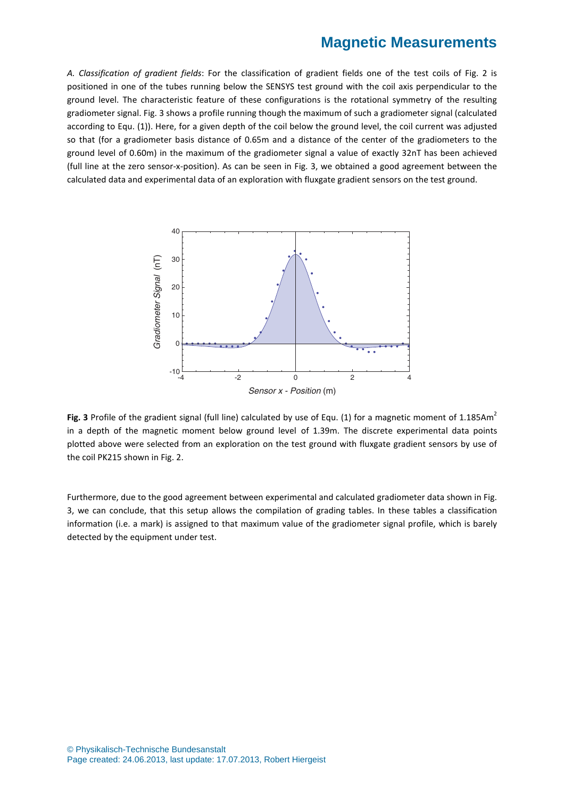*A. Classification of gradient fields*: For the classification of gradient fields one of the test coils of Fig. 2 is positioned in one of the tubes running below the SENSYS test ground with the coil axis perpendicular to the ground level. The characteristic feature of these configurations is the rotational symmetry of the resulting gradiometer signal. Fig. 3 shows a profile running though the maximum of such a gradiometer signal (calculated according to Equ. (1)). Here, for a given depth of the coil below the ground level, the coil current was adjusted so that (for a gradiometer basis distance of 0.65m and a distance of the center of the gradiometers to the ground level of 0.60m) in the maximum of the gradiometer signal a value of exactly 32nT has been achieved (full line at the zero sensor-x-position). As can be seen in Fig. 3, we obtained a good agreement between the calculated data and experimental data of an exploration with fluxgate gradient sensors on the test ground.



**Fig. 3** Profile of the gradient signal (full line) calculated by use of Equ. (1) for a magnetic moment of 1.185Am<sup>2</sup> in a depth of the magnetic moment below ground level of 1.39m. The discrete experimental data points plotted above were selected from an exploration on the test ground with fluxgate gradient sensors by use of the coil PK215 shown in Fig. 2.

Furthermore, due to the good agreement between experimental and calculated gradiometer data shown in Fig. 3, we can conclude, that this setup allows the compilation of grading tables. In these tables a classification information (i.e. a mark) is assigned to that maximum value of the gradiometer signal profile, which is barely detected by the equipment under test.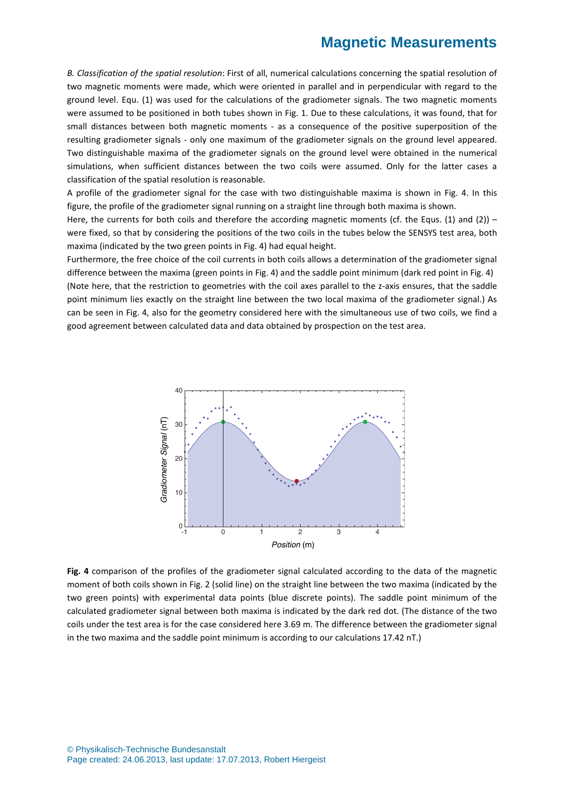*B. Classification of the spatial resolution*: First of all, numerical calculations concerning the spatial resolution of two magnetic moments were made, which were oriented in parallel and in perpendicular with regard to the ground level. Equ. (1) was used for the calculations of the gradiometer signals. The two magnetic moments were assumed to be positioned in both tubes shown in Fig. 1. Due to these calculations, it was found, that for small distances between both magnetic moments - as a consequence of the positive superposition of the resulting gradiometer signals - only one maximum of the gradiometer signals on the ground level appeared. Two distinguishable maxima of the gradiometer signals on the ground level were obtained in the numerical simulations, when sufficient distances between the two coils were assumed. Only for the latter cases a classification of the spatial resolution is reasonable.

A profile of the gradiometer signal for the case with two distinguishable maxima is shown in Fig. 4. In this figure, the profile of the gradiometer signal running on a straight line through both maxima is shown.

Here, the currents for both coils and therefore the according magnetic moments (cf. the Equs. (1) and (2)) – were fixed, so that by considering the positions of the two coils in the tubes below the SENSYS test area, both maxima (indicated by the two green points in Fig. 4) had equal height.

Furthermore, the free choice of the coil currents in both coils allows a determination of the gradiometer signal difference between the maxima (green points in Fig. 4) and the saddle point minimum (dark red point in Fig. 4) (Note here, that the restriction to geometries with the coil axes parallel to the z-axis ensures, that the saddle point minimum lies exactly on the straight line between the two local maxima of the gradiometer signal.) As can be seen in Fig. 4, also for the geometry considered here with the simultaneous use of two coils, we find a good agreement between calculated data and data obtained by prospection on the test area.



**Fig. 4** comparison of the profiles of the gradiometer signal calculated according to the data of the magnetic moment of both coils shown in Fig. 2 (solid line) on the straight line between the two maxima (indicated by the two green points) with experimental data points (blue discrete points). The saddle point minimum of the calculated gradiometer signal between both maxima is indicated by the dark red dot. (The distance of the two coils under the test area is for the case considered here 3.69 m. The difference between the gradiometer signal in the two maxima and the saddle point minimum is according to our calculations 17.42 nT.)